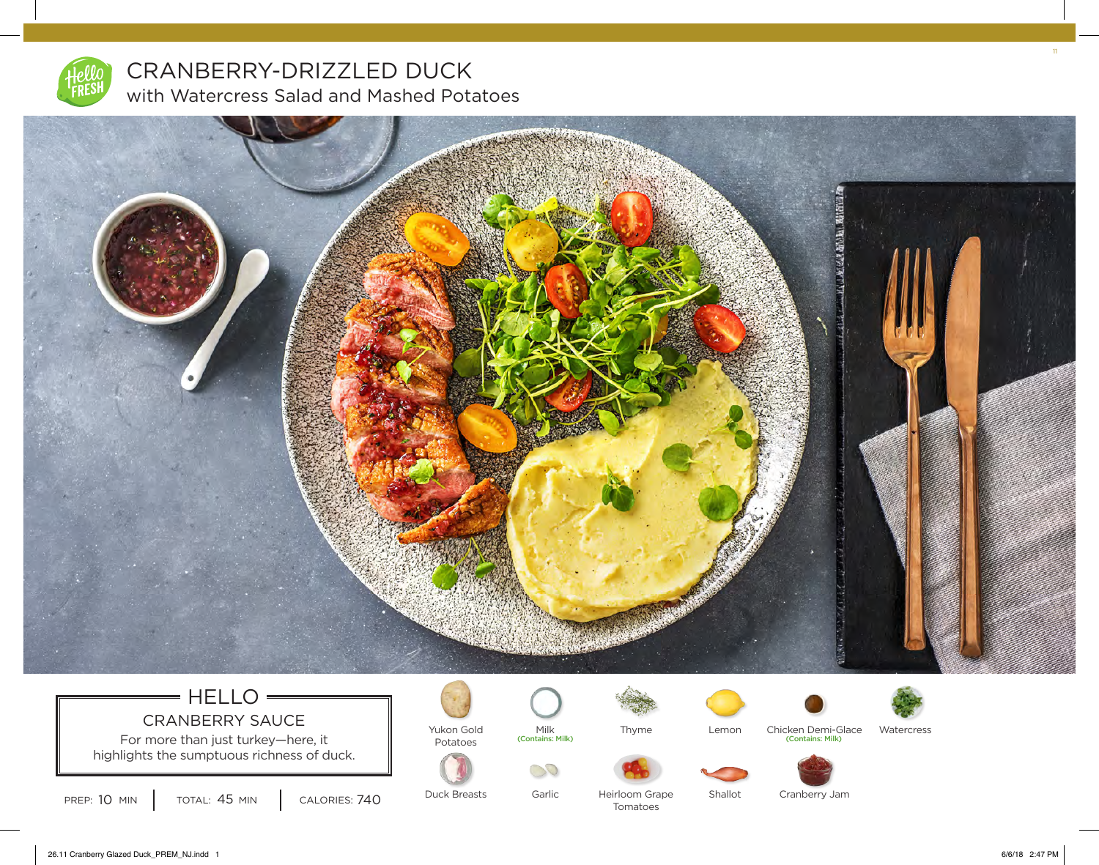

## CRANBERRY-DRIZZLED DUCK with Watercress Salad and Mashed Potatoes



## $=$  HELLO  $=$ CRANBERRY SAUCE

For more than just turkey—here, it  $\|\cdot\|$  Potatoes highlights the sumptuous richness of duck.



Yukon Gold



Milk<br>(Contains: Milk)

Garlic

30





Lemon

Shallot



(Contains: Milk) (Contains: Milk) Chicken Demi-Glace



PREP: 10 MIN | TOTAL: 45 MIN | CALORIES: 740

Duck Breasts

Heirloom Grape Tomatoes

Cranberry Jam

11